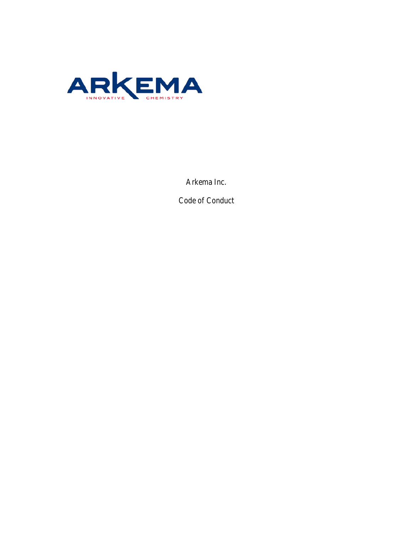

Arkema Inc.

Code of Conduct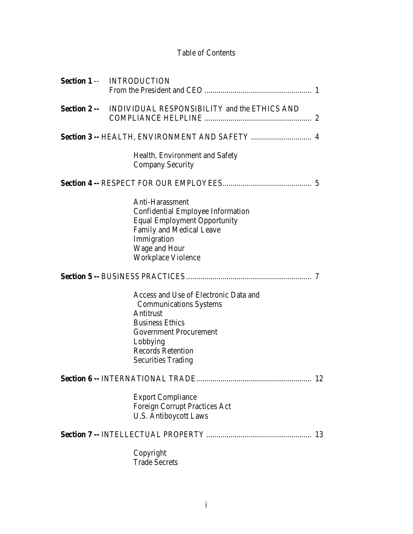# Table of Contents

|                     | <b>Section 1 -- INTRODUCTION</b>                                                                                                                                                                                    |    |
|---------------------|---------------------------------------------------------------------------------------------------------------------------------------------------------------------------------------------------------------------|----|
|                     |                                                                                                                                                                                                                     |    |
| <b>Section 2 --</b> | INDIVIDUAL RESPONSIBILITY and the ETHICS AND                                                                                                                                                                        |    |
|                     | Section 3 -- HEALTH, ENVIRONMENT AND SAFETY  4                                                                                                                                                                      |    |
|                     | Health, Environment and Safety<br><b>Company Security</b>                                                                                                                                                           |    |
|                     |                                                                                                                                                                                                                     |    |
|                     | Anti-Harassment<br>Confidential Employee Information<br><b>Equal Employment Opportunity</b><br>Family and Medical Leave<br>Immigration<br>Wage and Hour<br>Workplace Violence                                       |    |
|                     |                                                                                                                                                                                                                     |    |
|                     | Access and Use of Electronic Data and<br><b>Communications Systems</b><br>Antitrust<br><b>Business Ethics</b><br><b>Government Procurement</b><br>Lobbying<br><b>Records Retention</b><br><b>Securities Trading</b> |    |
|                     |                                                                                                                                                                                                                     | 12 |
|                     | <b>Export Compliance</b><br><b>Foreign Corrupt Practices Act</b><br><b>U.S. Antiboycott Laws</b>                                                                                                                    |    |
|                     |                                                                                                                                                                                                                     | 13 |
|                     | Copyright<br><b>Trade Secrets</b>                                                                                                                                                                                   |    |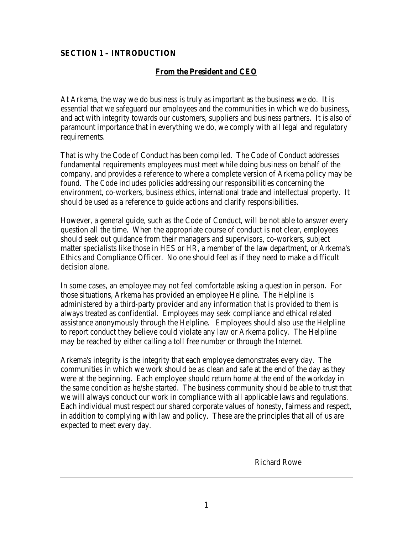# **SECTION 1 – INTRODUCTION**

# **From the President and CEO**

At Arkema, the way we do business is truly as important as the business we do. It is essential that we safeguard our employees and the communities in which we do business, and act with integrity towards our customers, suppliers and business partners. It is also of paramount importance that in everything we do, we comply with all legal and regulatory requirements.

That is why the Code of Conduct has been compiled. The Code of Conduct addresses fundamental requirements employees must meet while doing business on behalf of the company, and provides a reference to where a complete version of Arkema policy may be found. The Code includes policies addressing our responsibilities concerning the environment, co-workers, business ethics, international trade and intellectual property. It should be used as a reference to guide actions and clarify responsibilities.

However, a general guide, such as the Code of Conduct, will be not able to answer every question all the time. When the appropriate course of conduct is not clear, employees should seek out guidance from their managers and supervisors, co-workers, subject matter specialists like those in HES or HR, a member of the law department, or Arkema's Ethics and Compliance Officer. No one should feel as if they need to make a difficult decision alone.

In some cases, an employee may not feel comfortable asking a question in person. For those situations, Arkema has provided an employee Helpline. The Helpline is administered by a third-party provider and any information that is provided to them is always treated as confidential. Employees may seek compliance and ethical related assistance anonymously through the Helpline. Employees should also use the Helpline to report conduct they believe could violate any law or Arkema policy. The Helpline may be reached by either calling a toll free number or through the Internet.

Arkema's integrity is the integrity that each employee demonstrates every day. The communities in which we work should be as clean and safe at the end of the day as they were at the beginning. Each employee should return home at the end of the workday in the same condition as he/she started. The business community should be able to trust that we will always conduct our work in compliance with all applicable laws and regulations. Each individual must respect our shared corporate values of honesty, fairness and respect, in addition to complying with law and policy. These are the principles that all of us are expected to meet every day.

Richard Rowe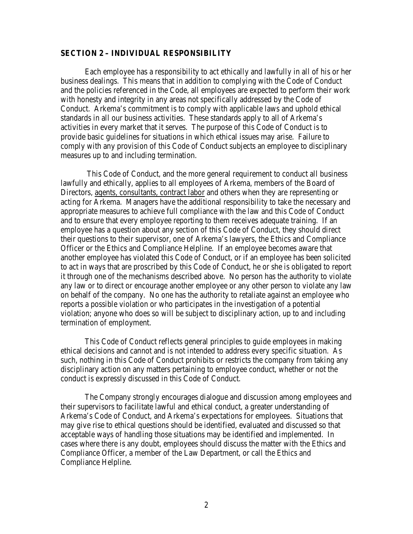#### **SECTION 2 – INDIVIDUAL RESPONSIBILITY**

Each employee has a responsibility to act ethically and lawfully in all of his or her business dealings. This means that in addition to complying with the Code of Conduct and the policies referenced in the Code, all employees are expected to perform their work with honesty and integrity in any areas not specifically addressed by the Code of Conduct. Arkema's commitment is to comply with applicable laws and uphold ethical standards in all our business activities. These standards apply to all of Arkema's activities in every market that it serves. The purpose of this Code of Conduct is to provide basic guidelines for situations in which ethical issues may arise. Failure to comply with any provision of this Code of Conduct subjects an employee to disciplinary measures up to and including termination.

This Code of Conduct, and the more general requirement to conduct all business lawfully and ethically, applies to all employees of Arkema, members of the Board of Directors, agents, consultants, contract labor and others when they are representing or acting for Arkema. Managers have the additional responsibility to take the necessary and appropriate measures to achieve full compliance with the law and this Code of Conduct and to ensure that every employee reporting to them receives adequate training. If an employee has a question about any section of this Code of Conduct, they should direct their questions to their supervisor, one of Arkema's lawyers, the Ethics and Compliance Officer or the Ethics and Compliance Helpline. If an employee becomes aware that another employee has violated this Code of Conduct, or if an employee has been solicited to act in ways that are proscribed by this Code of Conduct, he or she is obligated to report it through one of the mechanisms described above. No person has the authority to violate any law or to direct or encourage another employee or any other person to violate any law on behalf of the company. No one has the authority to retaliate against an employee who reports a possible violation or who participates in the investigation of a potential violation; anyone who does so will be subject to disciplinary action, up to and including termination of employment.

This Code of Conduct reflects general principles to guide employees in making ethical decisions and cannot and is not intended to address every specific situation. As such, nothing in this Code of Conduct prohibits or restricts the company from taking any disciplinary action on any matters pertaining to employee conduct, whether or not the conduct is expressly discussed in this Code of Conduct.

The Company strongly encourages dialogue and discussion among employees and their supervisors to facilitate lawful and ethical conduct, a greater understanding of Arkema's Code of Conduct, and Arkema's expectations for employees. Situations that may give rise to ethical questions should be identified, evaluated and discussed so that acceptable ways of handling those situations may be identified and implemented. In cases where there is any doubt, employees should discuss the matter with the Ethics and Compliance Officer, a member of the Law Department, or call the Ethics and Compliance Helpline.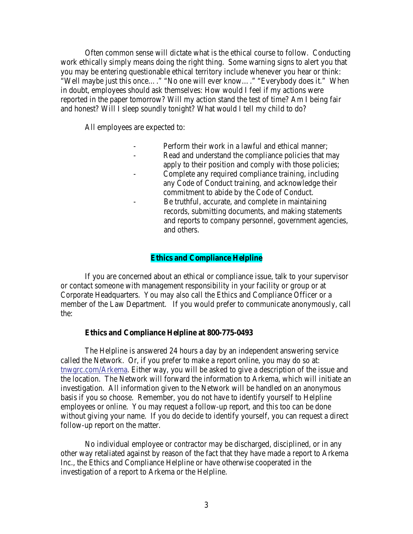Often common sense will dictate what is the ethical course to follow. Conducting work ethically simply means doing the right thing. Some warning signs to alert you that you may be entering questionable ethical territory include whenever you hear or think: "Well maybe just this once…." "No one will ever know…." "Everybody does it." When in doubt, employees should ask themselves: How would I feel if my actions were reported in the paper tomorrow? Will my action stand the test of time? Am I being fair and honest? Will I sleep soundly tonight? What would I tell my child to do?

All employees are expected to:

- Perform their work in a lawful and ethical manner:
- Read and understand the compliance policies that may apply to their position and comply with those policies;
- Complete any required compliance training, including any Code of Conduct training, and acknowledge their commitment to abide by the Code of Conduct.
- Be truthful, accurate, and complete in maintaining records, submitting documents, and making statements and reports to company personnel, government agencies, and others.

### **Ethics and Compliance Helpline**

If you are concerned about an ethical or compliance issue, talk to your supervisor or contact someone with management responsibility in your facility or group or at Corporate Headquarters. You may also call the Ethics and Compliance Officer or a member of the Law Department. If you would prefer to communicate anonymously, call the:

#### **Ethics and Compliance Helpline at 800-775-0493**

The Helpline is answered 24 hours a day by an independent answering service called the Network. Or, if you prefer to make a report online, you may do so at: [tnwgrc.com/Arkema.](https://tnwgrc.com/Arkema/) Either way, you will be asked to give a description of the issue and the location. The Network will forward the information to Arkema, which will initiate an investigation. All information given to the Network will be handled on an anonymous basis if you so choose. Remember, you do not have to identify yourself to Helpline employees or online. You may request a follow-up report, and this too can be done without giving your name. If you do decide to identify yourself, you can request a direct follow-up report on the matter.

No individual employee or contractor may be discharged, disciplined, or in any other way retaliated against by reason of the fact that they have made a report to Arkema Inc., the Ethics and Compliance Helpline or have otherwise cooperated in the investigation of a report to Arkema or the Helpline.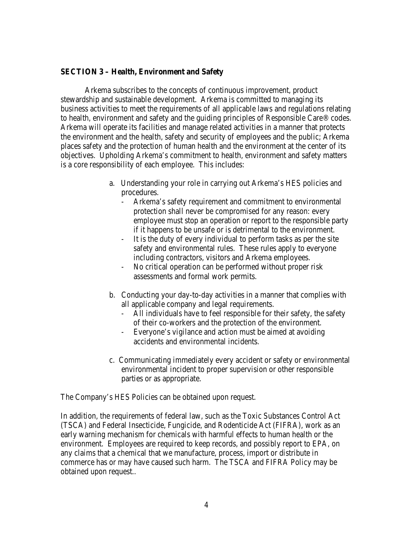### **SECTION 3 – Health, Environment and Safety**

Arkema subscribes to the concepts of continuous improvement, product stewardship and sustainable development. Arkema is committed to managing its business activities to meet the requirements of all applicable laws and regulations relating to health, environment and safety and the guiding principles of Responsible Care® codes. Arkema will operate its facilities and manage related activities in a manner that protects the environment and the health, safety and security of employees and the public; Arkema places safety and the protection of human health and the environment at the center of its objectives. Upholding Arkema's commitment to health, environment and safety matters is a core responsibility of each employee. This includes:

- a. Understanding your role in carrying out Arkema's HES policies and procedures.
	- Arkema's safety requirement and commitment to environmental protection shall never be compromised for any reason: every employee must stop an operation or report to the responsible party if it happens to be unsafe or is detrimental to the environment.
	- It is the duty of every individual to perform tasks as per the site safety and environmental rules. These rules apply to everyone including contractors, visitors and Arkema employees.
	- No critical operation can be performed without proper risk assessments and formal work permits.
- b. Conducting your day-to-day activities in a manner that complies with all applicable company and legal requirements.
	- All individuals have to feel responsible for their safety, the safety of their co-workers and the protection of the environment.
	- Everyone's vigilance and action must be aimed at avoiding accidents and environmental incidents.
- c. Communicating immediately every accident or safety or environmental environmental incident to proper supervision or other responsible parties or as appropriate.

The Company's HES Policies can be obtained upon request.

In addition, the requirements of federal law, such as the Toxic Substances Control Act (TSCA) and Federal Insecticide, Fungicide, and Rodenticide Act (FIFRA), work as an early warning mechanism for chemicals with harmful effects to human health or the environment. Employees are required to keep records, and possibly report to EPA, on any claims that a chemical that we manufacture, process, import or distribute in commerce has or may have caused such harm. The TSCA and FIFRA Policy may be obtained upon request..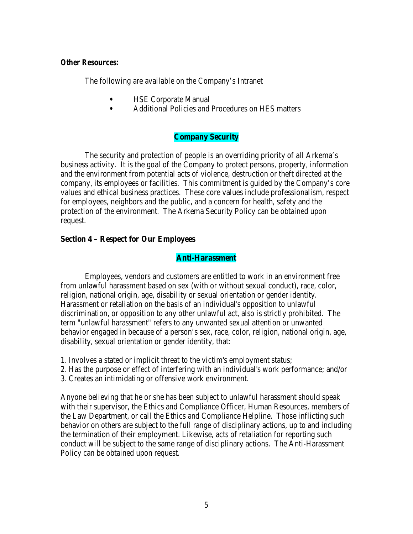#### *Other Resources:*

The following are available on the Company's Intranet

- **•** HSE Corporate Manual
- **•** Additional Policies and Procedures on HES matters

### **Company Security**

The security and protection of people is an overriding priority of all Arkema's business activity. It is the goal of the Company to protect persons, property, information and the environment from potential acts of violence, destruction or theft directed at the company, its employees or facilities. This commitment is guided by the Company's core values and ethical business practices. These core values include professionalism, respect for employees, neighbors and the public, and a concern for health, safety and the protection of the environment. The Arkema Security Policy can be obtained upon request.

#### **Section 4 – Respect for Our Employees**

### **Anti-Harassment**

Employees, vendors and customers are entitled to work in an environment free from unlawful harassment based on sex (with or without sexual conduct), race, color, religion, national origin, age, disability or sexual orientation or gender identity. Harassment or retaliation on the basis of an individual's opposition to unlawful discrimination, or opposition to any other unlawful act, also is strictly prohibited. The term "unlawful harassment" refers to any unwanted sexual attention or unwanted behavior engaged in because of a person's sex, race, color, religion, national origin, age, disability, sexual orientation or gender identity, that:

- 1. Involves a stated or implicit threat to the victim's employment status;
- 2. Has the purpose or effect of interfering with an individual's work performance; and/or
- 3. Creates an intimidating or offensive work environment.

Anyone believing that he or she has been subject to unlawful harassment should speak with their supervisor, the Ethics and Compliance Officer, Human Resources, members of the Law Department, or call the Ethics and Compliance Helpline. Those inflicting such behavior on others are subject to the full range of disciplinary actions, up to and including the termination of their employment. Likewise, acts of retaliation for reporting such conduct will be subject to the same range of disciplinary actions. The Anti-Harassment Policy can be obtained upon request.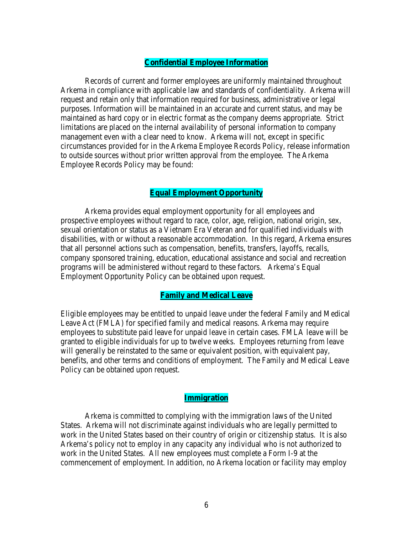#### **Confidential Employee Information**

Records of current and former employees are uniformly maintained throughout Arkema in compliance with applicable law and standards of confidentiality. Arkema will request and retain only that information required for business, administrative or legal purposes. Information will be maintained in an accurate and current status, and may be maintained as hard copy or in electric format as the company deems appropriate. Strict limitations are placed on the internal availability of personal information to company management even with a clear need to know. Arkema will not, except in specific circumstances provided for in the Arkema Employee Records Policy, release information to outside sources without prior written approval from the employee. The Arkema Employee Records Policy may be found:

### **Equal Employment Opportunity**

Arkema provides equal employment opportunity for all employees and prospective employees without regard to race, color, age, religion, national origin, sex, sexual orientation or status as a Vietnam Era Veteran and for qualified individuals with disabilities, with or without a reasonable accommodation. In this regard, Arkema ensures that all personnel actions such as compensation, benefits, transfers, layoffs, recalls, company sponsored training, education, educational assistance and social and recreation programs will be administered without regard to these factors. Arkema's Equal Employment Opportunity Policy can be obtained upon request.

#### **Family and Medical Leave**

Eligible employees may be entitled to unpaid leave under the federal Family and Medical Leave Act (FMLA) for specified family and medical reasons. Arkema may require employees to substitute paid leave for unpaid leave in certain cases. FMLA leave will be granted to eligible individuals for up to twelve weeks. Employees returning from leave will generally be reinstated to the same or equivalent position, with equivalent pay, benefits, and other terms and conditions of employment. The Family and Medical Leave Policy can be obtained upon request.

### **Immigration**

Arkema is committed to complying with the immigration laws of the United States. Arkema will not discriminate against individuals who are legally permitted to work in the United States based on their country of origin or citizenship status. It is also Arkema's policy not to employ in any capacity any individual who is not authorized to work in the United States. All new employees must complete a Form I-9 at the commencement of employment. In addition, no Arkema location or facility may employ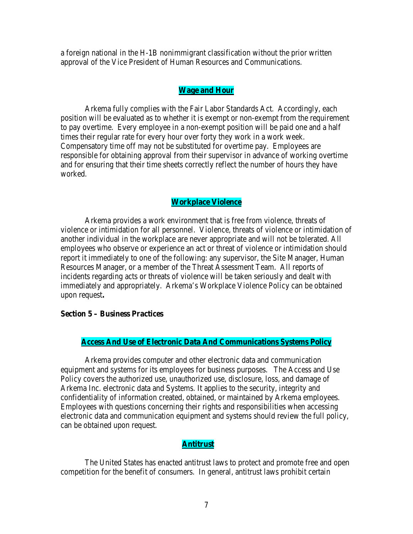a foreign national in the H-1B nonimmigrant classification without the prior written approval of the Vice President of Human Resources and Communications.

### **Wage and Hour**

Arkema fully complies with the Fair Labor Standards Act. Accordingly, each position will be evaluated as to whether it is exempt or non-exempt from the requirement to pay overtime. Every employee in a non-exempt position will be paid one and a half times their regular rate for every hour over forty they work in a work week. Compensatory time off may not be substituted for overtime pay. Employees are responsible for obtaining approval from their supervisor in advance of working overtime and for ensuring that their time sheets correctly reflect the number of hours they have worked.

### **Workplace Violence**

Arkema provides a work environment that is free from violence, threats of violence or intimidation for all personnel. Violence, threats of violence or intimidation of another individual in the workplace are never appropriate and will not be tolerated. All employees who observe or experience an act or threat of violence or intimidation should report it immediately to one of the following: any supervisor, the Site Manager, Human Resources Manager, or a member of the Threat Assessment Team. All reports of incidents regarding acts or threats of violence will be taken seriously and dealt with immediately and appropriately. Arkema's Workplace Violence Policy can be obtained upon request**.**

#### **Section 5 – Business Practices**

#### **Access And Use of Electronic Data And Communications Systems Policy**

Arkema provides computer and other electronic data and communication equipment and systems for its employees for business purposes. The Access and Use Policy covers the authorized use, unauthorized use, disclosure, loss, and damage of Arkema Inc. electronic data and Systems. It applies to the security, integrity and confidentiality of information created, obtained, or maintained by Arkema employees. Employees with questions concerning their rights and responsibilities when accessing electronic data and communication equipment and systems should review the full policy, can be obtained upon request.

### **Antitrust**

The United States has enacted antitrust laws to protect and promote free and open competition for the benefit of consumers. In general, antitrust laws prohibit certain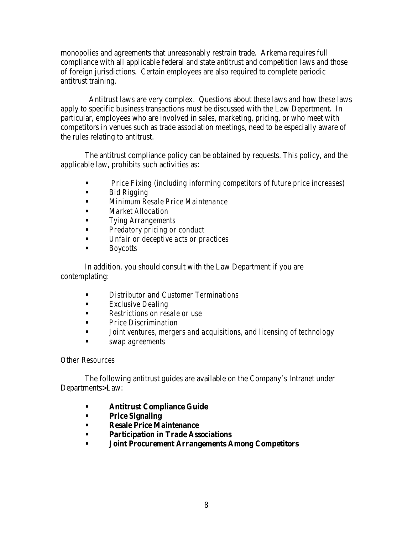monopolies and agreements that unreasonably restrain trade. Arkema requires full compliance with all applicable federal and state antitrust and competition laws and those of foreign jurisdictions. Certain employees are also required to complete periodic antitrust training.

 Antitrust laws are very complex. Questions about these laws and how these laws apply to specific business transactions must be discussed with the Law Department. In particular, employees who are involved in sales, marketing, pricing, or who meet with competitors in venues such as trade association meetings, need to be especially aware of the rules relating to antitrust.

The antitrust compliance policy can be obtained by requests. This policy, and the applicable law, prohibits such activities as:

- **•** *Price Fixing (including informing competitors of future price increases)*
- **•** *Bid Rigging*
- **•** *Minimum Resale Price Maintenance*
- **•** *Market Allocation*
- **•** *Tying Arrangements*
- **•** *Predatory pricing or conduct*
- **•** *Unfair or deceptive acts or practices*
- **•** *Boycotts*

In addition, you should consult with the Law Department if you are contemplating:

- **•** *Distributor and Customer Terminations*
- **•** *Exclusive Dealing*
- **•** *Restrictions on resale or use*
- **•** *Price Discrimination*
- **•** *Joint ventures, mergers and acquisitions, and licensing of technology*
- **•** *swap agreements*

## *Other Resources*

The following antitrust guides are available on the Company's Intranet under Departments>Law:

- **• Antitrust Compliance Guide**
- **• Price Signaling**
- **• Resale Price Maintenance**
- **• Participation in Trade Associations**
- **• Joint Procurement Arrangements Among Competitors**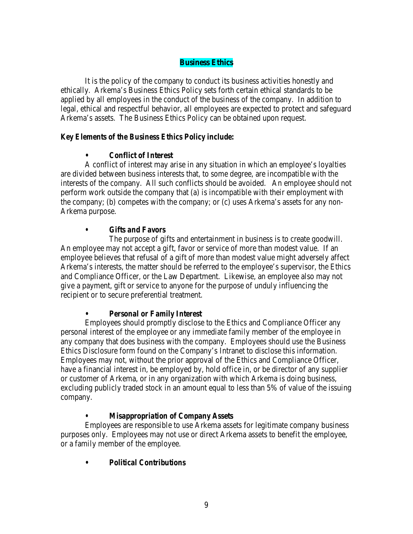## **Business Ethics**

It is the policy of the company to conduct its business activities honestly and ethically. Arkema's Business Ethics Policy sets forth certain ethical standards to be applied by all employees in the conduct of the business of the company. In addition to legal, ethical and respectful behavior, all employees are expected to protect and safeguard Arkema's assets. The Business Ethics Policy can be obtained upon request.

## *Key Elements of the Business Ethics Policy include:*

# **•** *Conflict of Interest*

A conflict of interest may arise in any situation in which an employee's loyalties are divided between business interests that, to some degree, are incompatible with the interests of the company. All such conflicts should be avoided. An employee should not perform work outside the company that (a) is incompatible with their employment with the company; (b) competes with the company; or (c) uses Arkema's assets for any non-Arkema purpose.

# *• Gifts and Favors*

The purpose of gifts and entertainment in business is to create goodwill. An employee may not accept a gift, favor or service of more than modest value. If an employee believes that refusal of a gift of more than modest value might adversely affect Arkema's interests, the matter should be referred to the employee's supervisor, the Ethics and Compliance Officer, or the Law Department. Likewise, an employee also may not give a payment, gift or service to anyone for the purpose of unduly influencing the recipient or to secure preferential treatment.

### **•** *Personal or Family Interest*

Employees should promptly disclose to the Ethics and Compliance Officer any personal interest of the employee or any immediate family member of the employee in any company that does business with the company. Employees should use the Business Ethics Disclosure form found on the Company's Intranet to disclose this information. Employees may not, without the prior approval of the Ethics and Compliance Officer, have a financial interest in, be employed by, hold office in, or be director of any supplier or customer of Arkema, or in any organization with which Arkema is doing business, excluding publicly traded stock in an amount equal to less than 5% of value of the issuing company.

# *• Misappropriation of Company Assets*

Employees are responsible to use Arkema assets for legitimate company business purposes only. Employees may not use or direct Arkema assets to benefit the employee, or a family member of the employee.

# **•** *Political Contributions*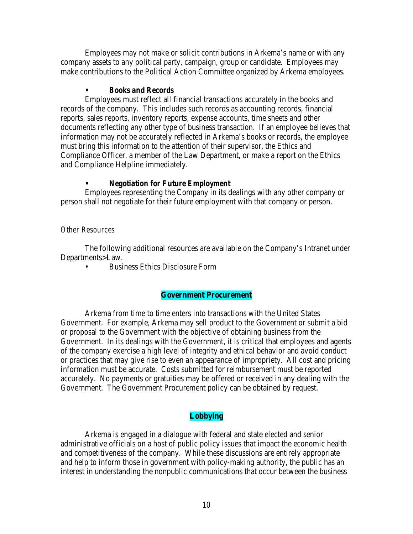Employees may not make or solicit contributions in Arkema's name or with any company assets to any political party, campaign, group or candidate. Employees may make contributions to the Political Action Committee organized by Arkema employees.

## **•** *Books and Records*

Employees must reflect all financial transactions accurately in the books and records of the company. This includes such records as accounting records, financial reports, sales reports, inventory reports, expense accounts, time sheets and other documents reflecting any other type of business transaction. If an employee believes that information may not be accurately reflected in Arkema's books or records, the employee must bring this information to the attention of their supervisor, the Ethics and Compliance Officer, a member of the Law Department, or make a report on the Ethics and Compliance Helpline immediately.

# **•** *Negotiation for Future Employment*

Employees representing the Company in its dealings with any other company or person shall not negotiate for their future employment with that company or person.

# *Other Resources*

The following additional resources are available on the Company's Intranet under Departments>Law.

• Business Ethics Disclosure Form

# **Government Procurement**

Arkema from time to time enters into transactions with the United States Government. For example, Arkema may sell product to the Government or submit a bid or proposal to the Government with the objective of obtaining business from the Government. In its dealings with the Government, it is critical that employees and agents of the company exercise a high level of integrity and ethical behavior and avoid conduct or practices that may give rise to even an appearance of impropriety. All cost and pricing information must be accurate. Costs submitted for reimbursement must be reported accurately. No payments or gratuities may be offered or received in any dealing with the Government. The Government Procurement policy can be obtained by request.

# **Lobbying**

Arkema is engaged in a dialogue with federal and state elected and senior administrative officials on a host of public policy issues that impact the economic health and competitiveness of the company. While these discussions are entirely appropriate and help to inform those in government with policy-making authority, the public has an interest in understanding the nonpublic communications that occur between the business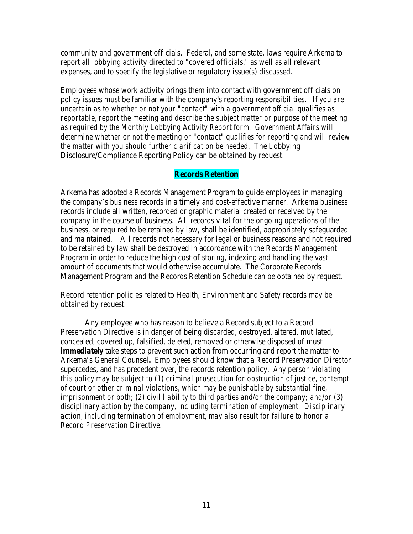community and government officials. Federal, and some state, laws require Arkema to report all lobbying activity directed to "covered officials," as well as all relevant expenses, and to specify the legislative or regulatory issue(s) discussed.

Employees whose work activity brings them into contact with government officials on policy issues must be familiar with the company's reporting responsibilities. *If you are uncertain as to whether or not your "contact" with a government official qualifies as reportable, report the meeting and describe the subject matter or purpose of the meeting as required by the Monthly Lobbying Activity Report form. Government Affairs will determine whether or not the meeting or "contact" qualifies for reporting and will review the matter with you should further clarification be needed.* The Lobbying Disclosure/Compliance Reporting Policy can be obtained by request.

### **Records Retention**

Arkema has adopted a Records Management Program to guide employees in managing the company's business records in a timely and cost-effective manner. Arkema business records include all written, recorded or graphic material created or received by the company in the course of business. All records vital for the ongoing operations of the business, or required to be retained by law, shall be identified, appropriately safeguarded and maintained. All records not necessary for legal or business reasons and not required to be retained by law shall be destroyed in accordance with the Records Management Program in order to reduce the high cost of storing, indexing and handling the vast amount of documents that would otherwise accumulate. The Corporate Records Management Program and the Records Retention Schedule can be obtained by request.

Record retention policies related to Health, Environment and Safety records may be obtained by request.

Any employee who has reason to believe a Record subject to a Record Preservation Directive is in danger of being discarded, destroyed, altered, mutilated, concealed, covered up, falsified, deleted, removed or otherwise disposed of must **immediately** take steps to prevent such action from occurring and report the matter to Arkema's General Counsel**.** Employees should know that a Record Preservation Director supercedes, and has precedent over, the records retention policy. *Any person violating this policy may be subject to (1) criminal prosecution for obstruction of justice, contempt of court or other criminal violations, which may be punishable by substantial fine, imprisonment or both; (2) civil liability to third parties and/or the company; and/or (3) disciplinary action by the company, including termination of employment. Disciplinary action, including termination of employment, may also result for failure to honor a Record Preservation Directive.*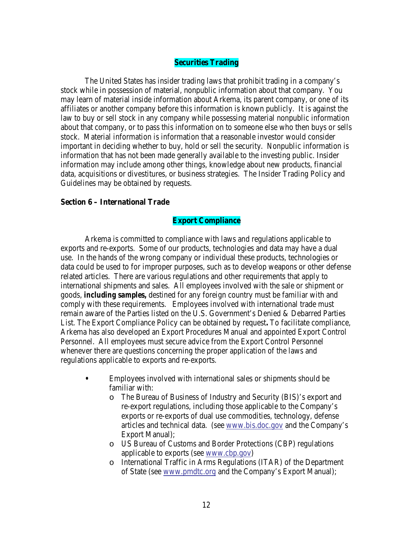### **Securities Trading**

The United States has insider trading laws that prohibit trading in a company's stock while in possession of material, nonpublic information about that company. You may learn of material inside information about Arkema, its parent company, or one of its affiliates or another company before this information is known publicly. It is against the law to buy or sell stock in any company while possessing material nonpublic information about that company, or to pass this information on to someone else who then buys or sells stock. Material information is information that a reasonable investor would consider important in deciding whether to buy, hold or sell the security. Nonpublic information is information that has not been made generally available to the investing public. Insider information may include among other things, knowledge about new products, financial data, acquisitions or divestitures, or business strategies. The Insider Trading Policy and Guidelines may be obtained by requests.

#### **Section 6 – International Trade**

#### **Export Compliance**

Arkema is committed to compliance with laws and regulations applicable to exports and re-exports. Some of our products, technologies and data may have a dual use. In the hands of the wrong company or individual these products, technologies or data could be used to for improper purposes, such as to develop weapons or other defense related articles. There are various regulations and other requirements that apply to international shipments and sales. All employees involved with the sale or shipment or goods, *including samples,* destined for any foreign country must be familiar with and comply with these requirements. Employees involved with international trade must remain aware of the Parties listed on the U.S. Government's Denied & Debarred Parties List. The Export Compliance Policy can be obtained by request**.** To facilitate compliance, Arkema has also developed an Export Procedures Manual and appointed Export Control Personnel. All employees must secure advice from the Export Control Personnel whenever there are questions concerning the proper application of the laws and regulations applicable to exports and re-exports.

- **•** Employees involved with international sales or shipments should be familiar with:
	- o The Bureau of Business of Industry and Security (BIS)'s export and re-export regulations, including those applicable to the Company's exports or re-exports of dual use commodities, technology, defense articles and technical data. (see [www.bis.doc.gov](http://www.bis.doc.gov/) and the Company's Export Manual);
	- o US Bureau of Customs and Border Protections (CBP) regulations applicable to exports (see [www.cbp.gov\)](https://www.cbp.gov/)
	- o International Traffic in Arms Regulations (ITAR) of the Department of State (see [www.pmdtc.org](http://www.pmdtc.org/) and the Company's Export Manual);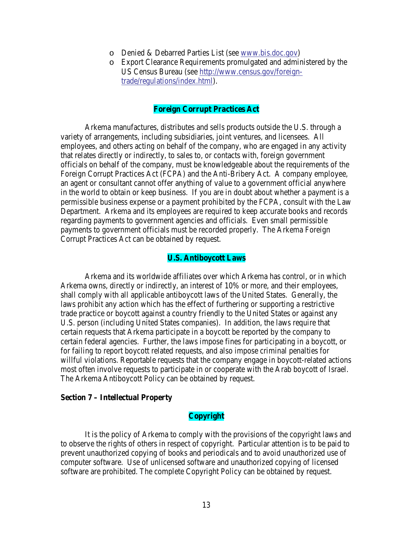- o Denied & Debarred Parties List (see [www.bis.doc.gov\)](http://www.bis.doc.gov/)
- o Export Clearance Requirements promulgated and administered by the US Census Bureau (see [http://www.census.gov/foreign](http://www.census.gov/foreign-trade/regulations/index.html)[trade/regulations/index.html\)](http://www.census.gov/foreign-trade/regulations/index.html).

### **Foreign Corrupt Practices Act**

Arkema manufactures, distributes and sells products outside the U.S. through a variety of arrangements, including subsidiaries, joint ventures, and licensees. All employees, and others acting on behalf of the company, who are engaged in any activity that relates directly or indirectly, to sales to, or contacts with, foreign government officials on behalf of the company, must be knowledgeable about the requirements of the Foreign Corrupt Practices Act (FCPA) and the Anti-Bribery Act. A company employee, an agent or consultant cannot offer anything of value to a government official anywhere in the world to obtain or keep business. If you are in doubt about whether a payment is a permissible business expense or a payment prohibited by the FCPA, consult with the Law Department. Arkema and its employees are required to keep accurate books and records regarding payments to government agencies and officials. Even small permissible payments to government officials must be recorded properly. The Arkema Foreign Corrupt Practices Act can be obtained by request.

#### **U.S. Antiboycott Laws**

Arkema and its worldwide affiliates over which Arkema has control, or in which Arkema owns, directly or indirectly, an interest of 10% or more, and their employees, shall comply with all applicable antiboycott laws of the United States. Generally, the laws prohibit any action which has the effect of furthering or supporting a restrictive trade practice or boycott against a country friendly to the United States or against any U.S. person (including United States companies). In addition, the laws require that certain requests that Arkema participate in a boycott be reported by the company to certain federal agencies. Further, the laws impose fines for participating in a boycott, or for failing to report boycott related requests, and also impose criminal penalties for willful violations. Reportable requests that the company engage in boycott-related actions most often involve requests to participate in or cooperate with the Arab boycott of Israel. The Arkema Antiboycott Policy can be obtained by request.

### **Section 7 – Intellectual Property**

### **Copyright**

It is the policy of Arkema to comply with the provisions of the copyright laws and to observe the rights of others in respect of copyright. Particular attention is to be paid to prevent unauthorized copying of books and periodicals and to avoid unauthorized use of computer software. Use of unlicensed software and unauthorized copying of licensed software are prohibited. The complete Copyright Policy can be obtained by request.